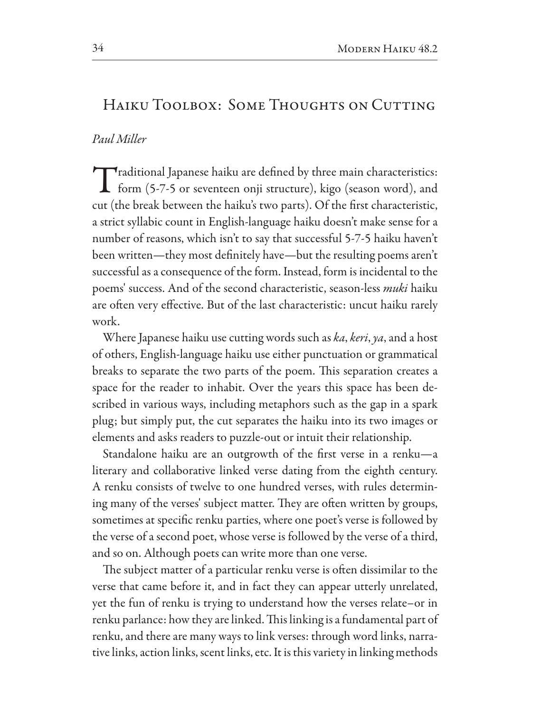# HAIKU TOOLBOX: SOME THOUGHTS ON CUTTING

## Paul Miller

 $\blacktriangleright$ raditional Japanese haiku are defined by three main characteristics: **1** form (5-7-5 or seventeen onji structure), kigo (season word), and cut (the break between the haiku's two parts). Of the first characteristic, a strict syllabic count in English-language haiku doesn't make sense for a number of reasons, which isn't to say that successful 5-7-5 haiku haven't been written—they most definitely have—but the resulting poems aren't successful as a consequence of the form. Instead, form is incidental to the poems' success. And of the second characteristic, season-less *muki* haiku are often very effective. But of the last characteristic: uncut haiku rarely work.

Where Japanese haiku use cutting words such as ka, keri, ya, and a host of others, English-language haiku use either punctuation or grammatical breaks to separate the two parts of the poem. This separation creates a space for the reader to inhabit. Over the years this space has been described in various ways, including metaphors such as the gap in a spark plug; but simply put, the cut separates the haiku into its two images or elements and asks readers to puzzle-out or intuit their relationship.

Standalone haiku are an outgrowth of the first verse in a renku—a literary and collaborative linked verse dating from the eighth century. A renku consists of twelve to one hundred verses, with rules determining many of the verses' subject matter. They are often written by groups, sometimes at specific renku parties, where one poet's verse is followed by the verse of a second poet, whose verse is followed by the verse of a third, and so on. Although poets can write more than one verse.

The subject matter of a particular renku verse is often dissimilar to the verse that came before it, and in fact they can appear utterly unrelated, yet the fun of renku is trying to understand how the verses relate–or in renku parlance: how they are linked. This linking is a fundamental part of renku, and there are many ways to link verses: through word links, narrative links, action links, scent links, etc. It is this variety in linking methods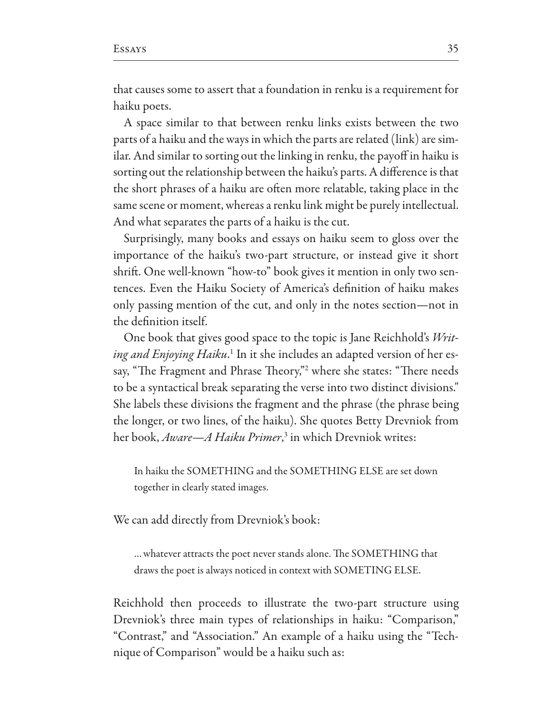that causes some to assert that a foundation in renku is a requirement for haiku poets.

A space similar to that between renku links exists between the two parts of a haiku and the ways in which the parts are related (link) are similar. And similar to sorting out the linking in renku, the payoff in haiku is sorting out the relationship between the haiku's parts. A difference is that the short phrases of a haiku are often more relatable, taking place in the same scene or moment, whereas a renku link might be purely intellectual. And what separates the parts of a haiku is the cut.

Surprisingly, many books and essays on haiku seem to gloss over the importance of the haiku's two-part structure, or instead give it short shrift. One well-known "how-to" book gives it mention in only two sentences. Even the Haiku Society of America's definition of haiku makes only passing mention of the cut, and only in the notes section—not in the definition itself.

One book that gives good space to the topic is Jane Reichhold's Writing and Enjoying Haiku.<sup>1</sup> In it she includes an adapted version of her essay, "The Fragment and Phrase Theory," where she states: "There needs to be a syntactical break separating the verse into two distinct divisions." She labels these divisions the fragment and the phrase (the phrase being the longer, or two lines, of the haiku). She quotes Betty Drevniok from her book, Aware—A Haiku Primer,<sup>3</sup> in which Drevniok writes:

In haiku the SOMETHING and the SOMETHING ELSE are set down together in clearly stated images.

We can add directly from Drevniok's book:

... whatever attracts the poet never stands alone. The SOMETHING that draws the poet is always noticed in context with SOMETING ELSE.

Reichhold then proceeds to illustrate the two-part structure using Drevniok's three main types of relationships in haiku: "Comparison," "Contrast," and "Association." An example of a haiku using the "Technique of Comparison" would be a haiku such as: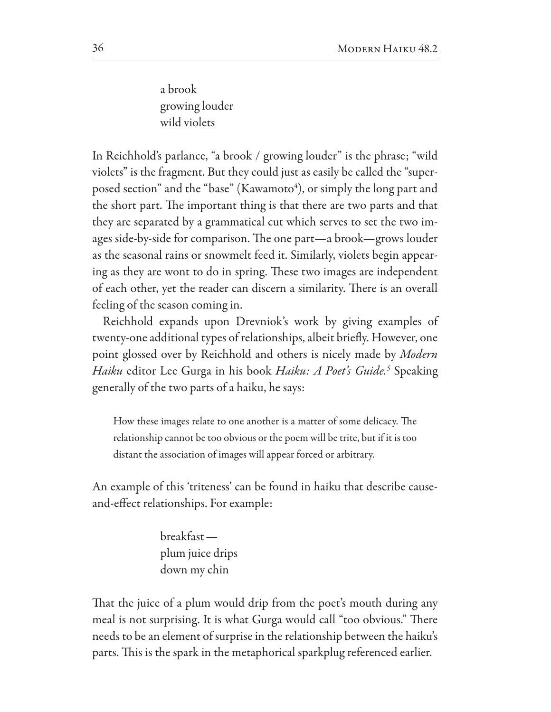a brook growing louder wild violets

In Reichhold's parlance, "a brook / growing louder" is the phrase; "wild violets" is the fragment. But they could just as easily be called the "superposed section" and the "base" (Kawamoto<sup>4</sup>), or simply the long part and the short part. The important thing is that there are two parts and that they are separated by a grammatical cut which serves to set the two images side-by-side for comparison. The one part-a brook-grows louder as the seasonal rains or snowmelt feed it. Similarly, violets begin appearing as they are wont to do in spring. These two images are independent of each other, yet the reader can discern a similarity. There is an overall feeling of the season coming in.

Reichhold expands upon Drevniok's work by giving examples of twenty-one additional types of relationships, albeit briefly. However, one point glossed over by Reichhold and others is nicely made by Modern Haiku editor Lee Gurga in his book Haiku: A Poet's Guide.<sup>5</sup> Speaking generally of the two parts of a haiku, he says:

How these images relate to one another is a matter of some delicacy. The relationship cannot be too obvious or the poem will be trite, but if it is too distant the association of images will appear forced or arbitrary.

An example of this 'triteness' can be found in haiku that describe causeand-effect relationships. For example:

> $breakfast$ plum juice drips down my chin

That the juice of a plum would drip from the poet's mouth during any meal is not surprising. It is what Gurga would call "too obvious." There needs to be an element of surprise in the relationship between the haiku's parts. This is the spark in the metaphorical sparkplug referenced earlier.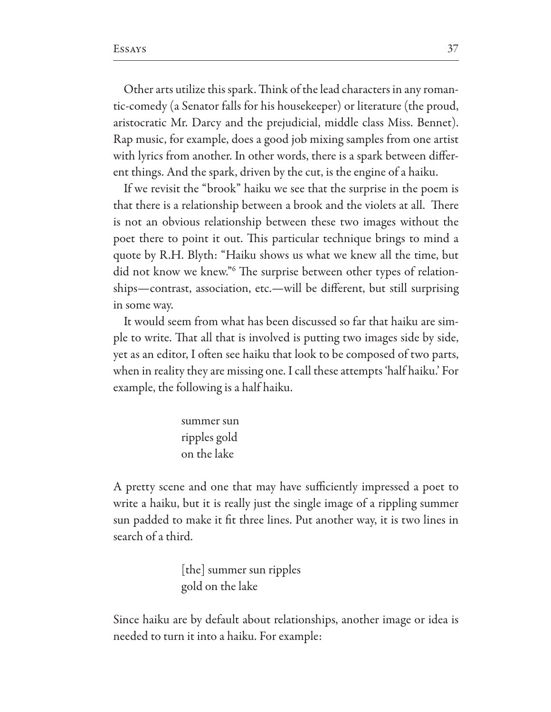Other arts utilize this spark. Think of the lead characters in any romantic-comedy (a Senator falls for his housekeeper) or literature (the proud, aristocratic Mr. Darcy and the prejudicial, middle class Miss. Bennet). Rap music, for example, does a good job mixing samples from one artist with lyrics from another. In other words, there is a spark between different things. And the spark, driven by the cut, is the engine of a haiku.

If we revisit the "brook" haiku we see that the surprise in the poem is that there is a relationship between a brook and the violets at all. There is not an obvious relationship between these two images without the poet there to point it out. This particular technique brings to mind a quote by R.H. Blyth: "Haiku shows us what we knew all the time, but did not know we knew."<sup>6</sup> The surprise between other types of relationships-contrast, association, etc.-will be different, but still surprising in some way.

It would seem from what has been discussed so far that haiku are simple to write. That all that is involved is putting two images side by side, yet as an editor, I often see haiku that look to be composed of two parts, when in reality they are missing one. I call these attempts 'half haiku.' For example, the following is a half haiku.

> summer sun ripples gold on the lake

A pretty scene and one that may have sufficiently impressed a poet to write a haiku, but it is really just the single image of a rippling summer sun padded to make it fit three lines. Put another way, it is two lines in search of a third.

> [the] summer sun ripples gold on the lake

Since haiku are by default about relationships, another image or idea is needed to turn it into a haiku. For example: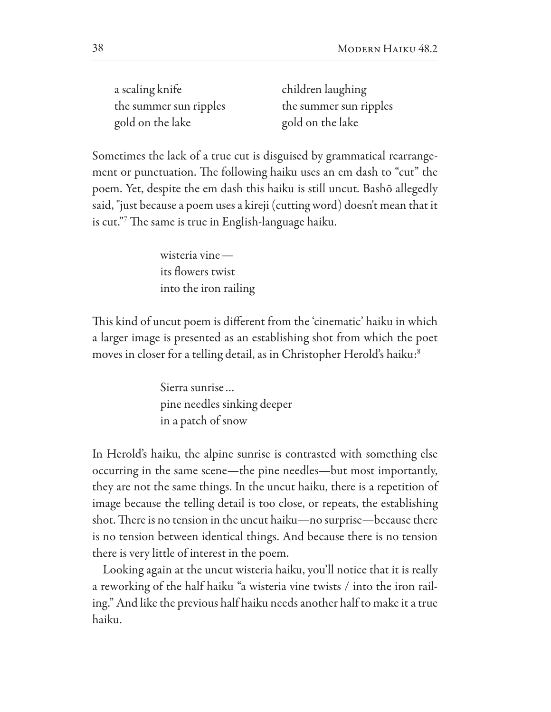a scaling knife the summer sun ripples gold on the lake

children laughing the summer sun ripples gold on the lake

Sometimes the lack of a true cut is disguised by grammatical rearrangement or punctuation. The following haiku uses an em dash to "cut" the poem. Yet, despite the em dash this haiku is still uncut. Bashō allegedly said, "just because a poem uses a kireji (cutting word) doesn't mean that it is cut." The same is true in English-language haiku.

> wisteria vine  $$ its flowers twist into the iron railing

This kind of uncut poem is different from the 'cinematic' haiku in which a larger image is presented as an establishing shot from which the poet moves in closer for a telling detail, as in Christopher Herold's haiku:<sup>8</sup>

> Sierra sunrise... pine needles sinking deeper in a patch of snow

In Herold's haiku, the alpine sunrise is contrasted with something else occurring in the same scene—the pine needles—but most importantly, they are not the same things. In the uncut haiku, there is a repetition of image because the telling detail is too close, or repeats, the establishing shot. There is no tension in the uncut haiku—no surprise—because there is no tension between identical things. And because there is no tension there is very little of interest in the poem.

Looking again at the uncut wisteria haiku, you'll notice that it is really a reworking of the half haiku "a wisteria vine twists / into the iron railing." And like the previous half haiku needs another half to make it a true haiku.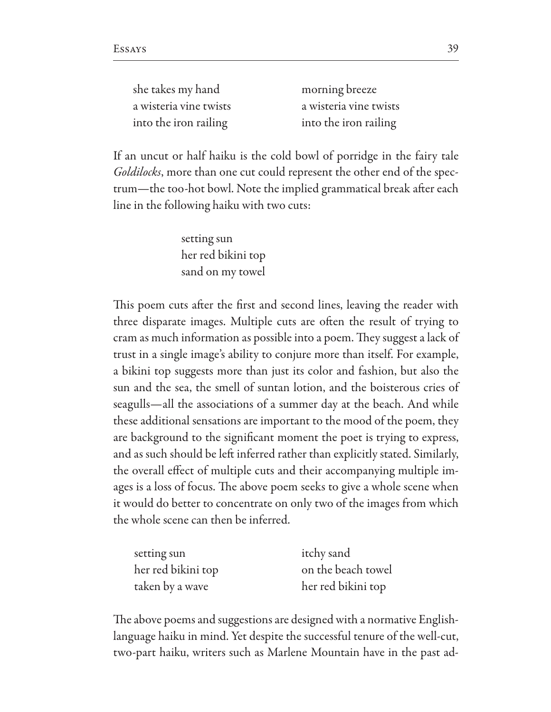| she takes my hand      | morning breeze         |
|------------------------|------------------------|
| a wisteria vine twists | a wisteria vine twists |
| into the iron railing  | into the iron railing  |

If an uncut or half haiku is the cold bowl of porridge in the fairy tale Goldilocks, more than one cut could represent the other end of the spectrum-the too-hot bowl. Note the implied grammatical break after each line in the following haiku with two cuts:

> setting sun her red bikini top sand on my towel

This poem cuts after the first and second lines, leaving the reader with three disparate images. Multiple cuts are often the result of trying to cram as much information as possible into a poem. They suggest a lack of trust in a single image's ability to conjure more than itself. For example, a bikini top suggests more than just its color and fashion, but also the sun and the sea, the smell of suntan lotion, and the boisterous cries of seagulls—all the associations of a summer day at the beach. And while these additional sensations are important to the mood of the poem, they are background to the significant moment the poet is trying to express, and as such should be left inferred rather than explicitly stated. Similarly, the overall effect of multiple cuts and their accompanying multiple images is a loss of focus. The above poem seeks to give a whole scene when it would do better to concentrate on only two of the images from which the whole scene can then be inferred.

| setting sun        | itchy sand         |
|--------------------|--------------------|
| her red bikini top | on the beach towel |
| taken by a wave    | her red bikini top |

The above poems and suggestions are designed with a normative Englishlanguage haiku in mind. Yet despite the successful tenure of the well-cut, two-part haiku, writers such as Marlene Mountain have in the past ad-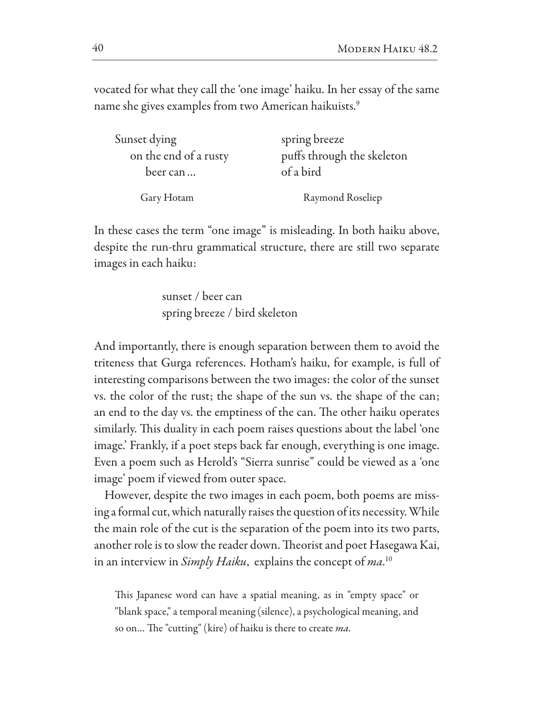vocated for what they call the 'one image' haiku. In her essay of the same name she gives examples from two American haikuists.<sup>9</sup>

| Sunset dying          | spring breeze              |
|-----------------------|----------------------------|
| on the end of a rusty | puffs through the skeleton |
| beer can              | of a bird                  |
| Gary Hotam            | Raymond Roseliep           |

In these cases the term "one image" is misleading. In both haiku above, despite the run-thru grammatical structure, there are still two separate images in each haiku:

> sunset / beer can spring breeze / bird skeleton

And importantly, there is enough separation between them to avoid the triteness that Gurga references. Hotham's haiku, for example, is full of interesting comparisons between the two images: the color of the sunset vs. the color of the rust; the shape of the sun vs. the shape of the can; an end to the day vs. the emptiness of the can. The other haiku operates similarly. This duality in each poem raises questions about the label 'one image.' Frankly, if a poet steps back far enough, everything is one image. Even a poem such as Herold's "Sierra sunrise" could be viewed as a 'one image' poem if viewed from outer space.

However, despite the two images in each poem, both poems are missing a formal cut, which naturally raises the question of its necessity. While the main role of the cut is the separation of the poem into its two parts, another role is to slow the reader down. Theorist and poet Hasegawa Kai, in an interview in Simply Haiku, explains the concept of ma.<sup>10</sup>

This Japanese word can have a spatial meaning, as in "empty space" or "blank space," a temporal meaning (silence), a psychological meaning, and so on... The "cutting" (kire) of haiku is there to create ma.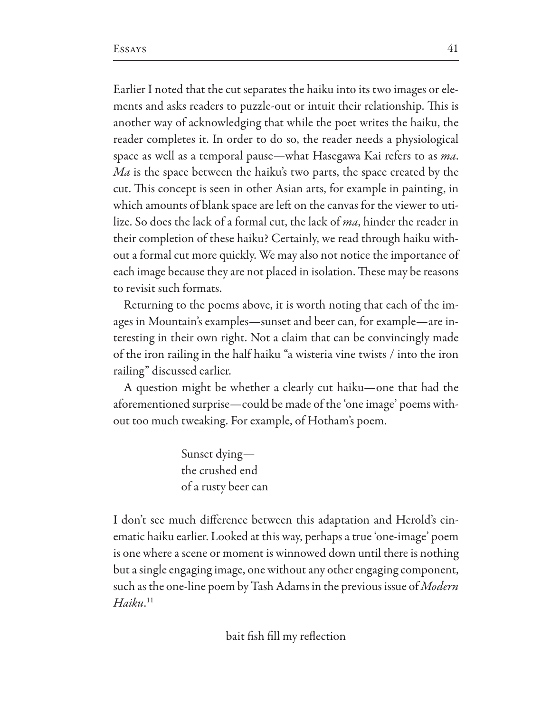Earlier I noted that the cut separates the haiku into its two images or elements and asks readers to puzzle-out or intuit their relationship. This is another way of acknowledging that while the poet writes the haiku, the reader completes it. In order to do so, the reader needs a physiological space as well as a temporal pause—what Hasegawa Kai refers to as ma. Ma is the space between the haiku's two parts, the space created by the cut. This concept is seen in other Asian arts, for example in painting, in which amounts of blank space are left on the canvas for the viewer to utilize. So does the lack of a formal cut, the lack of ma, hinder the reader in their completion of these haiku? Certainly, we read through haiku without a formal cut more quickly. We may also not notice the importance of each image because they are not placed in isolation. These may be reasons to revisit such formats.

Returning to the poems above, it is worth noting that each of the images in Mountain's examples—sunset and beer can, for example—are interesting in their own right. Not a claim that can be convincingly made of the iron railing in the half haiku "a wisteria vine twists / into the iron railing" discussed earlier.

A question might be whether a clearly cut haiku-one that had the aforementioned surprise—could be made of the 'one image' poems without too much tweaking. For example, of Hotham's poem.

> Sunset dying the crushed end of a rusty beer can

I don't see much difference between this adaptation and Herold's cinematic haiku earlier. Looked at this way, perhaps a true 'one-image' poem is one where a scene or moment is winnowed down until there is nothing but a single engaging image, one without any other engaging component, such as the one-line poem by Tash Adams in the previous issue of Modern  $Haiku$ <sup>11</sup>

bait fish fill my reflection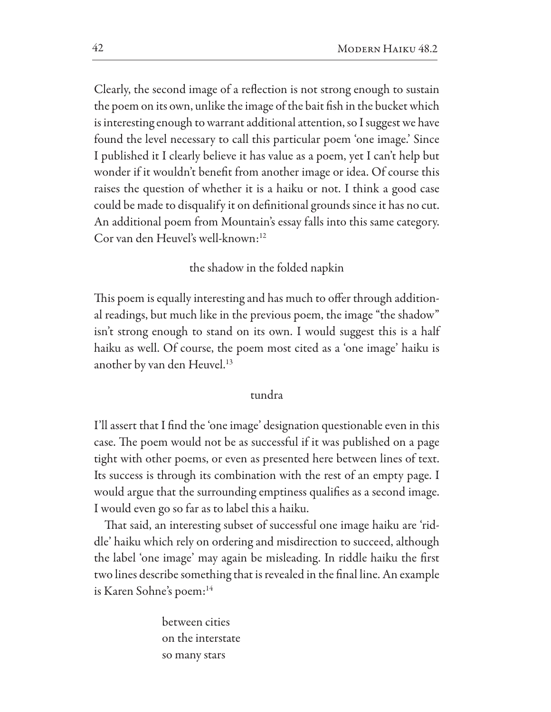Clearly, the second image of a reflection is not strong enough to sustain the poem on its own, unlike the image of the bait fish in the bucket which is interesting enough to warrant additional attention, so I suggest we have found the level necessary to call this particular poem 'one image.' Since I published it I clearly believe it has value as a poem, yet I can't help but wonder if it wouldn't benefit from another image or idea. Of course this raises the question of whether it is a haiku or not. I think a good case could be made to disqualify it on definitional grounds since it has no cut. An additional poem from Mountain's essay falls into this same category. Cor van den Heuvel's well-known:<sup>12</sup>

## the shadow in the folded napkin

This poem is equally interesting and has much to offer through additional readings, but much like in the previous poem, the image "the shadow" isn't strong enough to stand on its own. I would suggest this is a half haiku as well. Of course, the poem most cited as a 'one image' haiku is another by van den Heuvel.<sup>13</sup>

## tundra

I'll assert that I find the 'one image' designation questionable even in this case. The poem would not be as successful if it was published on a page tight with other poems, or even as presented here between lines of text. Its success is through its combination with the rest of an empty page. I would argue that the surrounding emptiness qualifies as a second image. I would even go so far as to label this a haiku.

That said, an interesting subset of successful one image haiku are 'riddle' haiku which rely on ordering and misdirection to succeed, although the label 'one image' may again be misleading. In riddle haiku the first two lines describe something that is revealed in the final line. An example is Karen Sohne's poem:<sup>14</sup>

> between cities on the interstate so many stars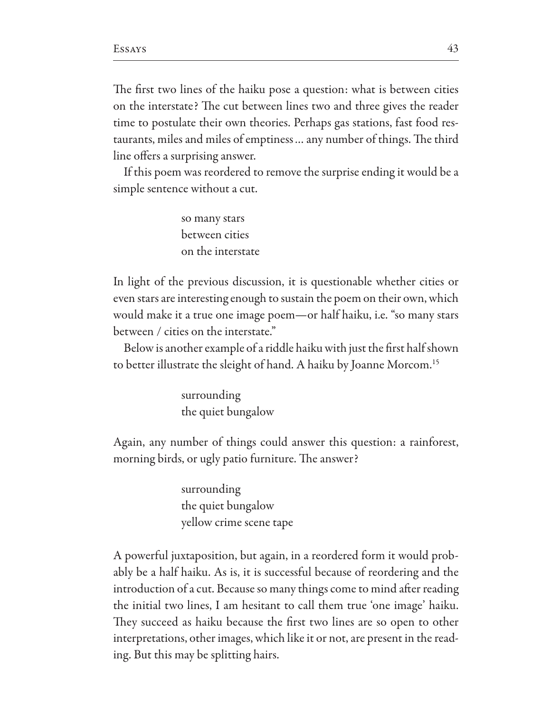The first two lines of the haiku pose a question: what is between cities on the interstate? The cut between lines two and three gives the reader time to postulate their own theories. Perhaps gas stations, fast food restaurants, miles and miles of emptiness ... any number of things. The third line offers a surprising answer.

If this poem was reordered to remove the surprise ending it would be a simple sentence without a cut.

> so many stars between cities on the interstate

In light of the previous discussion, it is questionable whether cities or even stars are interesting enough to sustain the poem on their own, which would make it a true one image poem-or half haiku, i.e. "so many stars between / cities on the interstate."

Below is another example of a riddle haiku with just the first half shown to better illustrate the sleight of hand. A haiku by Joanne Morcom.<sup>15</sup>

> surrounding the quiet bungalow

Again, any number of things could answer this question: a rainforest, morning birds, or ugly patio furniture. The answer?

> surrounding the quiet bungalow yellow crime scene tape

A powerful juxtaposition, but again, in a reordered form it would probably be a half haiku. As is, it is successful because of reordering and the introduction of a cut. Because so many things come to mind after reading the initial two lines, I am hesitant to call them true 'one image' haiku. They succeed as haiku because the first two lines are so open to other interpretations, other images, which like it or not, are present in the reading. But this may be splitting hairs.